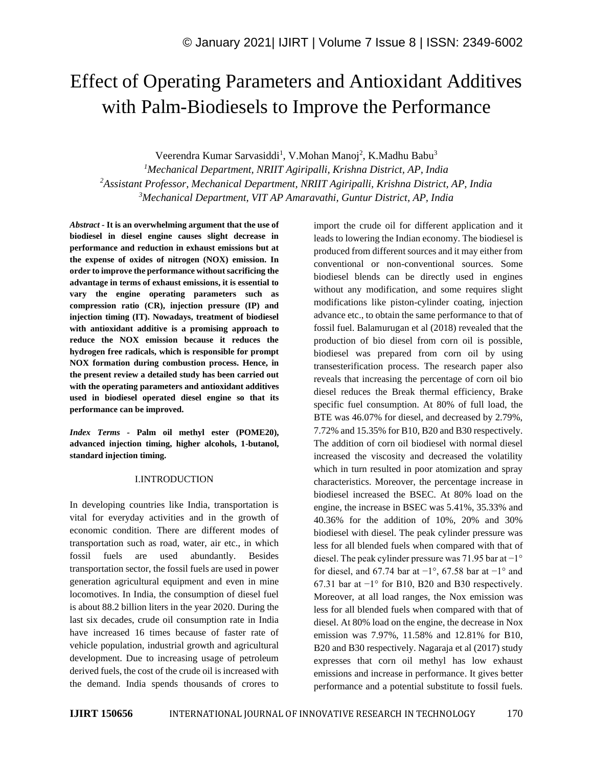# Effect of Operating Parameters and Antioxidant Additives with Palm-Biodiesels to Improve the Performance

Veerendra Kumar Sarvasiddi<sup>1</sup>, V.Mohan Manoj<sup>2</sup>, K.Madhu Babu<sup>3</sup>

*<sup>1</sup>Mechanical Department, NRIIT Agiripalli, Krishna District, AP, India <sup>2</sup>Assistant Professor, Mechanical Department, NRIIT Agiripalli, Krishna District, AP, India <sup>3</sup>Mechanical Department, VIT AP Amaravathi, Guntur District, AP, India*

*Abstract -* **It is an overwhelming argument that the use of biodiesel in diesel engine causes slight decrease in performance and reduction in exhaust emissions but at the expense of oxides of nitrogen (NOX) emission. In order to improve the performance without sacrificing the advantage in terms of exhaust emissions, it is essential to vary the engine operating parameters such as compression ratio (CR), injection pressure (IP) and injection timing (IT). Nowadays, treatment of biodiesel with antioxidant additive is a promising approach to reduce the NOX emission because it reduces the hydrogen free radicals, which is responsible for prompt NOX formation during combustion process. Hence, in the present review a detailed study has been carried out with the operating parameters and antioxidant additives used in biodiesel operated diesel engine so that its performance can be improved.**

*Index Terms -* **Palm oil methyl ester (POME20), advanced injection timing, higher alcohols, 1-butanol, standard injection timing.**

#### I.INTRODUCTION

In developing countries like India, transportation is vital for everyday activities and in the growth of economic condition. There are different modes of transportation such as road, water, air etc., in which fossil fuels are used abundantly. Besides transportation sector, the fossil fuels are used in power generation agricultural equipment and even in mine locomotives. In India, the consumption of diesel fuel is about 88.2 billion liters in the year 2020. During the last six decades, crude oil consumption rate in India have increased 16 times because of faster rate of vehicle population, industrial growth and agricultural development. Due to increasing usage of petroleum derived fuels, the cost of the crude oil is increased with the demand. India spends thousands of crores to import the crude oil for different application and it leads to lowering the Indian economy. The biodiesel is produced from different sources and it may either from conventional or non-conventional sources. Some biodiesel blends can be directly used in engines without any modification, and some requires slight modifications like piston-cylinder coating, injection advance etc., to obtain the same performance to that of fossil fuel. Balamurugan et al (2018) revealed that the production of bio diesel from corn oil is possible, biodiesel was prepared from corn oil by using transesterification process. The research paper also reveals that increasing the percentage of corn oil bio diesel reduces the Break thermal efficiency, Brake specific fuel consumption. At 80% of full load, the BTE was 46.07% for diesel, and decreased by 2.79%, 7.72% and 15.35% for B10, B20 and B30 respectively. The addition of corn oil biodiesel with normal diesel increased the viscosity and decreased the volatility which in turn resulted in poor atomization and spray characteristics. Moreover, the percentage increase in biodiesel increased the BSEC. At 80% load on the engine, the increase in BSEC was 5.41%, 35.33% and 40.36% for the addition of 10%, 20% and 30% biodiesel with diesel. The peak cylinder pressure was less for all blended fuels when compared with that of diesel. The peak cylinder pressure was 71.95 bar at −1° for diesel, and 67.74 bar at  $-1^\circ$ , 67.58 bar at  $-1^\circ$  and 67.31 bar at −1° for B10, B20 and B30 respectively. Moreover, at all load ranges, the Nox emission was less for all blended fuels when compared with that of diesel. At 80% load on the engine, the decrease in Nox emission was 7.97%, 11.58% and 12.81% for B10, B20 and B30 respectively. Nagaraja et al (2017) study expresses that corn oil methyl has low exhaust emissions and increase in performance. It gives better performance and a potential substitute to fossil fuels.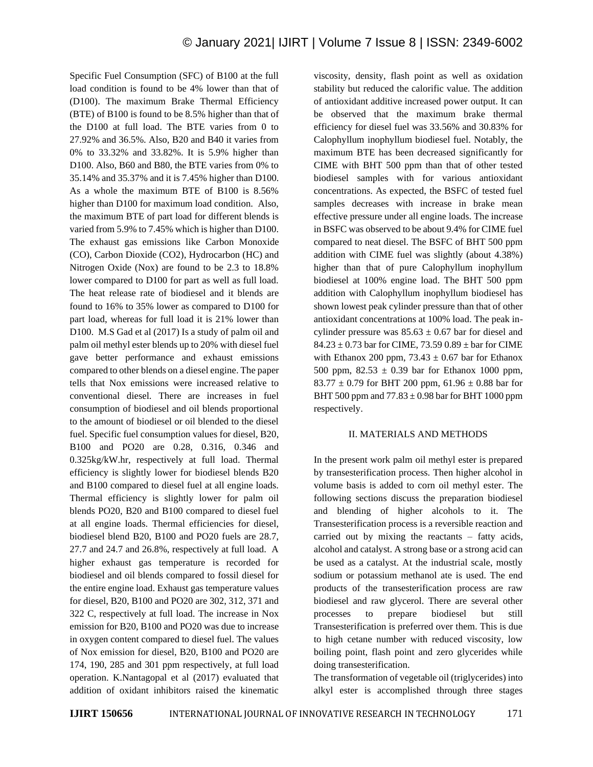Specific Fuel Consumption (SFC) of B100 at the full load condition is found to be 4% lower than that of (D100). The maximum Brake Thermal Efficiency (BTE) of B100 is found to be 8.5% higher than that of the D100 at full load. The BTE varies from 0 to 27.92% and 36.5%. Also, B20 and B40 it varies from 0% to 33.32% and 33.82%. It is 5.9% higher than D100. Also, B60 and B80, the BTE varies from 0% to 35.14% and 35.37% and it is 7.45% higher than D100. As a whole the maximum BTE of B100 is 8.56% higher than D100 for maximum load condition. Also, the maximum BTE of part load for different blends is varied from 5.9% to 7.45% which is higher than D100. The exhaust gas emissions like Carbon Monoxide (CO), Carbon Dioxide (CO2), Hydrocarbon (HC) and Nitrogen Oxide (Nox) are found to be 2.3 to 18.8% lower compared to D100 for part as well as full load. The heat release rate of biodiesel and it blends are found to 16% to 35% lower as compared to D100 for part load, whereas for full load it is 21% lower than D100. M.S Gad et al (2017) Is a study of palm oil and palm oil methyl ester blends up to 20% with diesel fuel gave better performance and exhaust emissions compared to other blends on a diesel engine. The paper tells that Nox emissions were increased relative to conventional diesel. There are increases in fuel consumption of biodiesel and oil blends proportional to the amount of biodiesel or oil blended to the diesel fuel. Specific fuel consumption values for diesel, B20, B100 and PO20 are 0.28, 0.316, 0.346 and 0.325kg/kW.hr, respectively at full load. Thermal efficiency is slightly lower for biodiesel blends B20 and B100 compared to diesel fuel at all engine loads. Thermal efficiency is slightly lower for palm oil blends PO20, B20 and B100 compared to diesel fuel at all engine loads. Thermal efficiencies for diesel, biodiesel blend B20, B100 and PO20 fuels are 28.7, 27.7 and 24.7 and 26.8%, respectively at full load. A higher exhaust gas temperature is recorded for biodiesel and oil blends compared to fossil diesel for the entire engine load. Exhaust gas temperature values for diesel, B20, B100 and PO20 are 302, 312, 371 and 322 C, respectively at full load. The increase in Nox emission for B20, B100 and PO20 was due to increase in oxygen content compared to diesel fuel. The values of Nox emission for diesel, B20, B100 and PO20 are 174, 190, 285 and 301 ppm respectively, at full load operation. K.Nantagopal et al (2017) evaluated that addition of oxidant inhibitors raised the kinematic viscosity, density, flash point as well as oxidation stability but reduced the calorific value. The addition of antioxidant additive increased power output. It can be observed that the maximum brake thermal efficiency for diesel fuel was 33.56% and 30.83% for Calophyllum inophyllum biodiesel fuel. Notably, the maximum BTE has been decreased significantly for CIME with BHT 500 ppm than that of other tested biodiesel samples with for various antioxidant concentrations. As expected, the BSFC of tested fuel samples decreases with increase in brake mean effective pressure under all engine loads. The increase in BSFC was observed to be about 9.4% for CIME fuel compared to neat diesel. The BSFC of BHT 500 ppm addition with CIME fuel was slightly (about 4.38%) higher than that of pure Calophyllum inophyllum biodiesel at 100% engine load. The BHT 500 ppm addition with Calophyllum inophyllum biodiesel has shown lowest peak cylinder pressure than that of other antioxidant concentrations at 100% load. The peak incylinder pressure was  $85.63 \pm 0.67$  bar for diesel and  $84.23 \pm 0.73$  bar for CIME, 73.59 0.89  $\pm$  bar for CIME with Ethanox 200 ppm, 73.43  $\pm$  0.67 bar for Ethanox 500 ppm,  $82.53 \pm 0.39$  bar for Ethanox 1000 ppm, 83.77  $\pm$  0.79 for BHT 200 ppm, 61.96  $\pm$  0.88 bar for BHT 500 ppm and  $77.83 \pm 0.98$  bar for BHT 1000 ppm respectively.

#### II. MATERIALS AND METHODS

In the present work palm oil methyl ester is prepared by transesterification process. Then higher alcohol in volume basis is added to corn oil methyl ester. The following sections discuss the preparation biodiesel and blending of higher alcohols to it. The Transesterification process is a reversible reaction and carried out by mixing the reactants – fatty acids, alcohol and catalyst. A strong base or a strong acid can be used as a catalyst. At the industrial scale, mostly sodium or potassium methanol ate is used. The end products of the transesterification process are raw biodiesel and raw glycerol. There are several other processes to prepare biodiesel but still Transesterification is preferred over them. This is due to high cetane number with reduced viscosity, low boiling point, flash point and zero glycerides while doing transesterification.

The transformation of vegetable oil (triglycerides) into alkyl ester is accomplished through three stages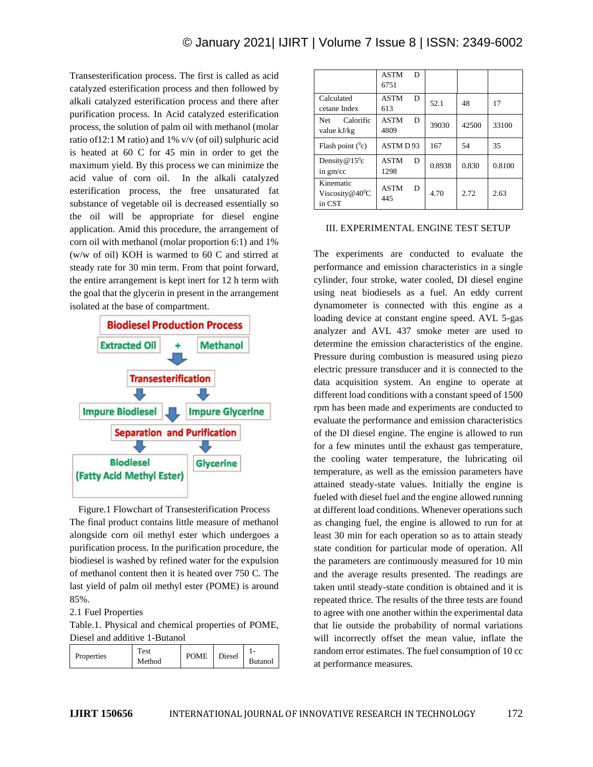Transesterification process. The first is called as acid catalyzed esterification process and then followed by alkali catalyzed esterification process and there after purification process. In Acid catalyzed esterification process, the solution of palm oil with methanol (molar ratio of12:1 M ratio) and 1% v/v (of oil) sulphuric acid is heated at 60 C for 45 min in order to get the maximum yield. By this process we can minimize the acid value of corn oil. In the alkali catalyzed esterification process, the free unsaturated fat substance of vegetable oil is decreased essentially so the oil will be appropriate for diesel engine application. Amid this procedure, the arrangement of corn oil with methanol (molar proportion 6:1) and 1% (w/w of oil) KOH is warmed to 60 C and stirred at steady rate for 30 min term. From that point forward, the entire arrangement is kept inert for 12 h term with the goal that the glycerin in present in the arrangement isolated at the base of compartment.



Figure.1 Flowchart of Transesterification Process The final product contains little measure of methanol alongside corn oil methyl ester which undergoes a purification process. In the purification procedure, the biodiesel is washed by refined water for the expulsion of methanol content then it is heated over 750 C. The last yield of palm oil methyl ester (POME) is around 85%.

#### 2.1 Fuel Properties

Table.1. Physical and chemical properties of POME, Diesel and additive 1-Butanol

| `est<br>Properties<br>Method | <b>POME</b> | Diesel | . .<br><b>Butanol</b> |
|------------------------------|-------------|--------|-----------------------|
|------------------------------|-------------|--------|-----------------------|

|                                                    | <b>ASTM</b><br>D<br>6751 |        |       |        |
|----------------------------------------------------|--------------------------|--------|-------|--------|
| Calculated<br>cetane Index                         | <b>ASTM</b><br>D<br>613  | 52.1   | 48    | 17     |
| Calorific<br>Net<br>value kJ/kg                    | <b>ASTM</b><br>D<br>4809 | 39030  | 42500 | 33100  |
| Flash point $(^0c)$                                | ASTM D93                 | 167    | 54    | 35     |
| Density $@15$ <sup>0</sup> c<br>in $gm/cc$         | <b>ASTM</b><br>D<br>1298 | 0.8938 | 0.830 | 0.8100 |
| Kinematic<br>Viscosity@40 <sup>0</sup> C<br>in CST | <b>ASTM</b><br>D<br>445  | 4.70   | 2.72. | 2.63   |

#### III. EXPERIMENTAL ENGINE TEST SETUP

The experiments are conducted to evaluate the performance and emission characteristics in a single cylinder, four stroke, water cooled, DI diesel engine using neat biodiesels as a fuel. An eddy current dynamometer is connected with this engine as a loading device at constant engine speed. AVL 5-gas analyzer and AVL 437 smoke meter are used to determine the emission characteristics of the engine. Pressure during combustion is measured using piezo electric pressure transducer and it is connected to the data acquisition system. An engine to operate at different load conditions with a constant speed of 1500 rpm has been made and experiments are conducted to evaluate the performance and emission characteristics of the DI diesel engine. The engine is allowed to run for a few minutes until the exhaust gas temperature, the cooling water temperature, the lubricating oil temperature, as well as the emission parameters have attained steady-state values. Initially the engine is fueled with diesel fuel and the engine allowed running at different load conditions. Whenever operations such as changing fuel, the engine is allowed to run for at least 30 min for each operation so as to attain steady state condition for particular mode of operation. All the parameters are continuously measured for 10 min and the average results presented. The readings are taken until steady-state condition is obtained and it is repeated thrice. The results of the three tests are found to agree with one another within the experimental data that lie outside the probability of normal variations will incorrectly offset the mean value, inflate the random error estimates. The fuel consumption of 10 cc at performance measures.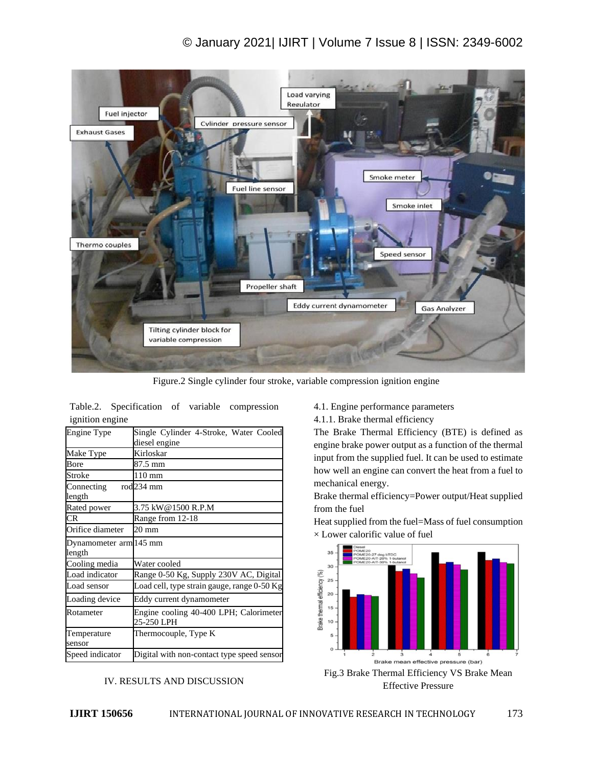## © January 2021| IJIRT | Volume 7 Issue 8 | ISSN: 2349-6002



Figure.2 Single cylinder four stroke, variable compression ignition engine

| Engine Type                      | Single Cylinder 4-Stroke, Water Cooled<br>diesel engine |  |  |
|----------------------------------|---------------------------------------------------------|--|--|
| Make Type                        | Kirloskar                                               |  |  |
| Bore                             | 87.5 mm                                                 |  |  |
| Stroke                           | 110 mm                                                  |  |  |
| Connecting<br>length             | rod <sub>234</sub> mm                                   |  |  |
| Rated power                      | 3.75 kW@1500 R.P.M                                      |  |  |
| <b>CR</b>                        | Range from 12-18                                        |  |  |
| Orifice diameter                 | $20 \text{ mm}$                                         |  |  |
| Dynamometer arm 145 mm<br>length |                                                         |  |  |
| Cooling media                    | Water cooled                                            |  |  |
| Load indicator                   | Range 0-50 Kg, Supply 230V AC, Digital                  |  |  |
| Load sensor                      | Load cell, type strain gauge, range 0-50 Kg             |  |  |
| Loading device                   | Eddy current dynamometer                                |  |  |
| Rotameter                        | Engine cooling 40-400 LPH; Calorimeter<br>25-250 LPH    |  |  |
| Temperature<br>sensor            | Thermocouple, Type K                                    |  |  |
| Speed indicator                  | Digital with non-contact type speed sensor              |  |  |

Table.2. Specification of variable compression ignition engine

#### IV. RESULTS AND DISCUSSION

4.1. Engine performance parameters

4.1.1. Brake thermal efficiency

The Brake Thermal Efficiency (BTE) is defined as engine brake power output as a function of the thermal input from the supplied fuel. It can be used to estimate how well an engine can convert the heat from a fuel to mechanical energy.

Brake thermal efficiency=Power output/Heat supplied from the fuel

Heat supplied from the fuel=Mass of fuel consumption  $\times$  Lower calorific value of fuel



Effective Pressure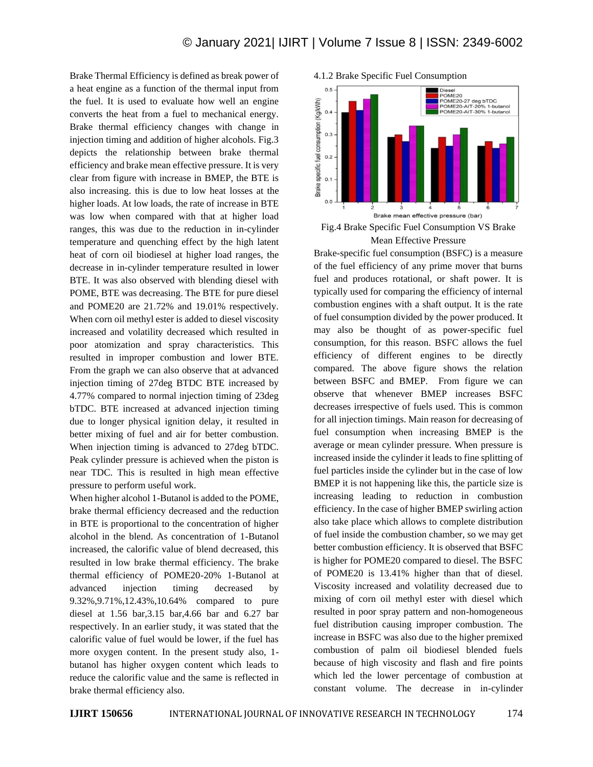Brake Thermal Efficiency is defined as break power of a heat engine as a function of the thermal input from the fuel. It is used to evaluate how well an engine converts the heat from a fuel to mechanical energy. Brake thermal efficiency changes with change in injection timing and addition of higher alcohols. Fig.3 depicts the relationship between brake thermal efficiency and brake mean effective pressure. It is very clear from figure with increase in BMEP, the BTE is also increasing. this is due to low heat losses at the higher loads. At low loads, the rate of increase in BTE was low when compared with that at higher load ranges, this was due to the reduction in in-cylinder temperature and quenching effect by the high latent heat of corn oil biodiesel at higher load ranges, the decrease in in-cylinder temperature resulted in lower BTE. It was also observed with blending diesel with POME, BTE was decreasing. The BTE for pure diesel and POME20 are 21.72% and 19.01% respectively. When corn oil methyl ester is added to diesel viscosity increased and volatility decreased which resulted in poor atomization and spray characteristics. This resulted in improper combustion and lower BTE. From the graph we can also observe that at advanced injection timing of 27deg BTDC BTE increased by 4.77% compared to normal injection timing of 23deg bTDC. BTE increased at advanced injection timing due to longer physical ignition delay, it resulted in better mixing of fuel and air for better combustion. When injection timing is advanced to 27deg bTDC. Peak cylinder pressure is achieved when the piston is near TDC. This is resulted in high mean effective pressure to perform useful work.

When higher alcohol 1-Butanol is added to the POME, brake thermal efficiency decreased and the reduction in BTE is proportional to the concentration of higher alcohol in the blend. As concentration of 1-Butanol increased, the calorific value of blend decreased, this resulted in low brake thermal efficiency. The brake thermal efficiency of POME20-20% 1-Butanol at advanced injection timing decreased by 9.32%,9.71%,12.43%,10.64% compared to pure diesel at 1.56 bar,3.15 bar,4.66 bar and 6.27 bar respectively. In an earlier study, it was stated that the calorific value of fuel would be lower, if the fuel has more oxygen content. In the present study also, 1 butanol has higher oxygen content which leads to reduce the calorific value and the same is reflected in brake thermal efficiency also.



Fig.4 Brake Specific Fuel Consumption VS Brake Mean Effective Pressure

Brake-specific fuel consumption (BSFC) is a measure of the fuel efficiency of any prime mover that burns fuel and produces rotational, or shaft power. It is typically used for comparing the efficiency of internal combustion engines with a shaft output. It is the rate of fuel consumption divided by the power produced. It may also be thought of as power-specific fuel consumption, for this reason. BSFC allows the fuel efficiency of different engines to be directly compared. The above figure shows the relation between BSFC and BMEP. From figure we can observe that whenever BMEP increases BSFC decreases irrespective of fuels used. This is common for all injection timings. Main reason for decreasing of fuel consumption when increasing BMEP is the average or mean cylinder pressure. When pressure is increased inside the cylinder it leads to fine splitting of fuel particles inside the cylinder but in the case of low BMEP it is not happening like this, the particle size is increasing leading to reduction in combustion efficiency. In the case of higher BMEP swirling action also take place which allows to complete distribution of fuel inside the combustion chamber, so we may get better combustion efficiency. It is observed that BSFC is higher for POME20 compared to diesel. The BSFC of POME20 is 13.41% higher than that of diesel. Viscosity increased and volatility decreased due to mixing of corn oil methyl ester with diesel which resulted in poor spray pattern and non-homogeneous fuel distribution causing improper combustion. The increase in BSFC was also due to the higher premixed combustion of palm oil biodiesel blended fuels because of high viscosity and flash and fire points which led the lower percentage of combustion at constant volume. The decrease in in-cylinder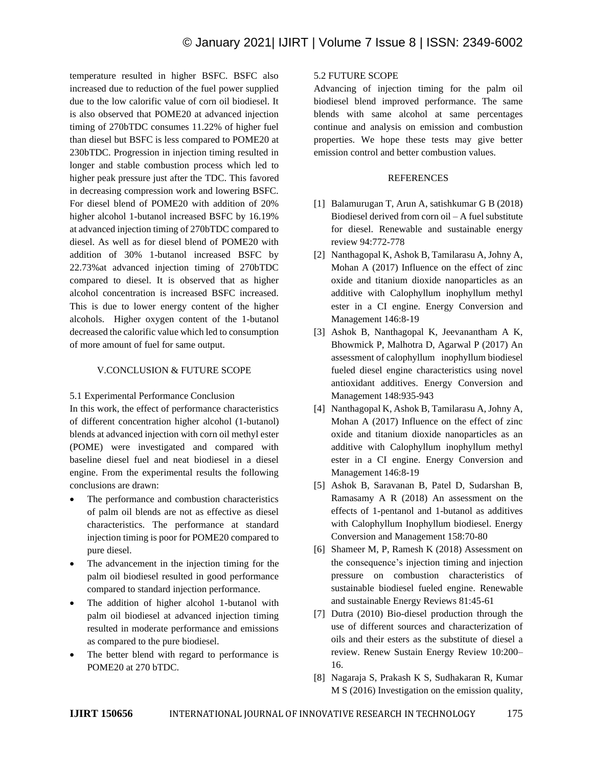temperature resulted in higher BSFC. BSFC also increased due to reduction of the fuel power supplied due to the low calorific value of corn oil biodiesel. It is also observed that POME20 at advanced injection timing of 270bTDC consumes 11.22% of higher fuel than diesel but BSFC is less compared to POME20 at 230bTDC. Progression in injection timing resulted in longer and stable combustion process which led to higher peak pressure just after the TDC. This favored in decreasing compression work and lowering BSFC. For diesel blend of POME20 with addition of 20% higher alcohol 1-butanol increased BSFC by 16.19% at advanced injection timing of 270bTDC compared to diesel. As well as for diesel blend of POME20 with addition of 30% 1-butanol increased BSFC by 22.73%at advanced injection timing of 270bTDC compared to diesel. It is observed that as higher alcohol concentration is increased BSFC increased. This is due to lower energy content of the higher alcohols. Higher oxygen content of the 1-butanol decreased the calorific value which led to consumption of more amount of fuel for same output.

### V.CONCLUSION & FUTURE SCOPE

#### 5.1 Experimental Performance Conclusion

In this work, the effect of performance characteristics of different concentration higher alcohol (1-butanol) blends at advanced injection with corn oil methyl ester (POME) were investigated and compared with baseline diesel fuel and neat biodiesel in a diesel engine. From the experimental results the following conclusions are drawn:

- The performance and combustion characteristics of palm oil blends are not as effective as diesel characteristics. The performance at standard injection timing is poor for POME20 compared to pure diesel.
- The advancement in the injection timing for the palm oil biodiesel resulted in good performance compared to standard injection performance.
- The addition of higher alcohol 1-butanol with palm oil biodiesel at advanced injection timing resulted in moderate performance and emissions as compared to the pure biodiesel.
- The better blend with regard to performance is POME20 at 270 bTDC.

### 5.2 FUTURE SCOPE

Advancing of injection timing for the palm oil biodiesel blend improved performance. The same blends with same alcohol at same percentages continue and analysis on emission and combustion properties. We hope these tests may give better emission control and better combustion values.

#### REFERENCES

- [1] Balamurugan T, Arun A, satishkumar G B (2018) Biodiesel derived from corn oil – A fuel substitute for diesel. Renewable and sustainable energy review 94:772-778
- [2] Nanthagopal K, Ashok B, Tamilarasu A, Johny A, Mohan A (2017) Influence on the effect of zinc oxide and titanium dioxide nanoparticles as an additive with Calophyllum inophyllum methyl ester in a CI engine. Energy Conversion and Management 146:8-19
- [3] Ashok B, Nanthagopal K, Jeevanantham A K, Bhowmick P, Malhotra D, Agarwal P (2017) An assessment of calophyllum inophyllum biodiesel fueled diesel engine characteristics using novel antioxidant additives. Energy Conversion and Management 148:935-943
- [4] Nanthagopal K, Ashok B, Tamilarasu A, Johny A, Mohan A (2017) Influence on the effect of zinc oxide and titanium dioxide nanoparticles as an additive with Calophyllum inophyllum methyl ester in a CI engine. Energy Conversion and Management 146:8-19
- [5] Ashok B, Saravanan B, Patel D, Sudarshan B, Ramasamy A R (2018) An assessment on the effects of 1-pentanol and 1-butanol as additives with Calophyllum Inophyllum biodiesel. Energy Conversion and Management 158:70-80
- [6] Shameer M, P, Ramesh K (2018) Assessment on the consequence's injection timing and injection pressure on combustion characteristics of sustainable biodiesel fueled engine. Renewable and sustainable Energy Reviews 81:45-61
- [7] Dutra (2010) Bio-diesel production through the use of different sources and characterization of oils and their esters as the substitute of diesel a review. Renew Sustain Energy Review 10:200– 16.
- [8] Nagaraja S, Prakash K S, Sudhakaran R, Kumar M S (2016) Investigation on the emission quality,